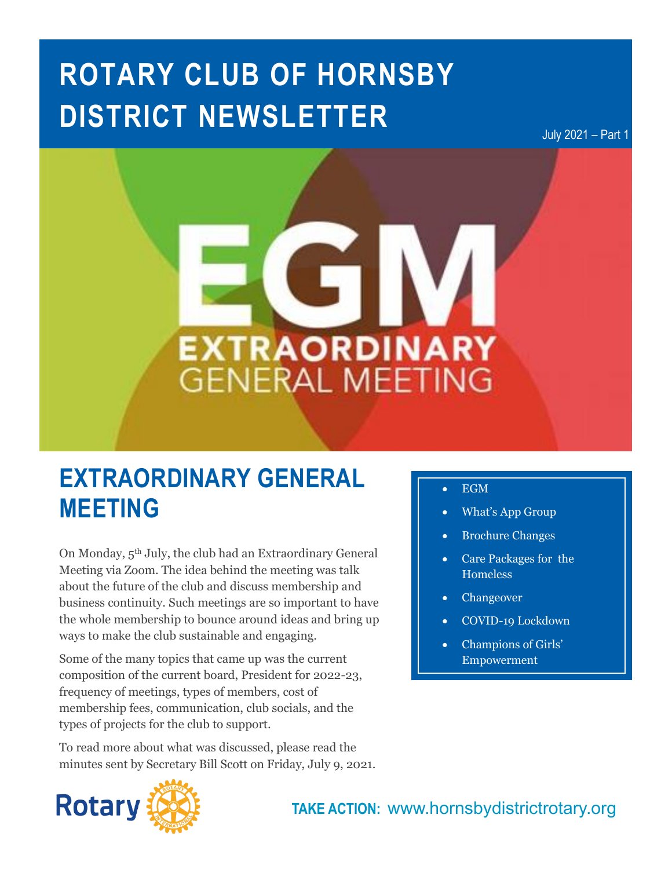# **ROTARY CLUB OF HORNSBY DISTRICT NEWSLETTER**

July 2021 – Part 1

# **EXTRAORDINARY GENERAL MEETING**

# **EXTRAORDINARY GENERAL MEETING**

On Monday, 5th July, the club had an Extraordinary General Meeting via Zoom. The idea behind the meeting was talk about the future of the club and discuss membership and business continuity. Such meetings are so important to have the whole membership to bounce around ideas and bring up ways to make the club sustainable and engaging.

Some of the many topics that came up was the current composition of the current board, President for 2022-23, frequency of meetings, types of members, cost of membership fees, communication, club socials, and the types of projects for the club to support.

To read more about what was discussed, please read the minutes sent by Secretary Bill Scott on Friday, July 9, 2021.

- **In this issue…** EGM What's App Group
- Brochure Changes
- Care Packages for the Homeless
- Changeover
- COVID-19 Lockdown
- Champions of Girls' Empowerment

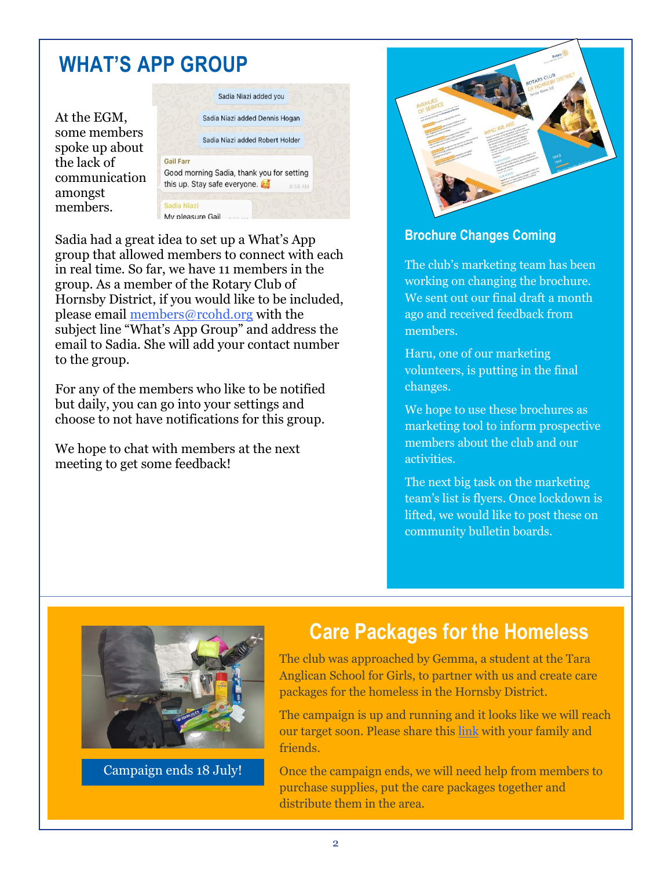# **WHAT'S APP GROUP**

At the EGM, some members spoke up about the lack of communication amongst members.



group tnat anowed members to connect with ea<br>in real time. So far, we have 11 members in the Sadia had a great idea to set up a What's App group that allowed members to connect with each group. As a member of the Rotary Club of Hornsby District, if you would like to be included, please email [members@rcohd.org](mailto:members@rcohd.org) with the subject line "What's App Group" and address the email to Sadia. She will add your contact number to the group.

For any of the members who like to be notified but daily, you can go into your settings and choose to not have notifications for this group.

We hope to chat with members at the next meeting to get some feedback!



### **Brochure Changes Coming**

The club's marketing team has been working on changing the brochure. We sent out our final draft a month ago and received feedback from members.

Haru, one of our marketing volunteers, is putting in the final changes.

We hope to use these brochures as marketing tool to inform prospective members about the club and our activities.

The next big task on the marketing team's list is flyers. Once lockdown is lifted, we would like to post these on community bulletin boards.



Campaign ends 18 July!

# **Care Packages for the Homeless**

The club was approached by Gemma, a student at the Tara Anglican School for Girls, to partner with us and create care packages for the homeless in the Hornsby District.

The campaign is up and running and it looks like we will reach our target soon. Please share this [link](https://campaigns.hornsbydistrictrotary.org/index.php/homelessness-package) with your family and friends.

Once the campaign ends, we will need help from members to purchase supplies, put the care packages together and distribute them in the area.